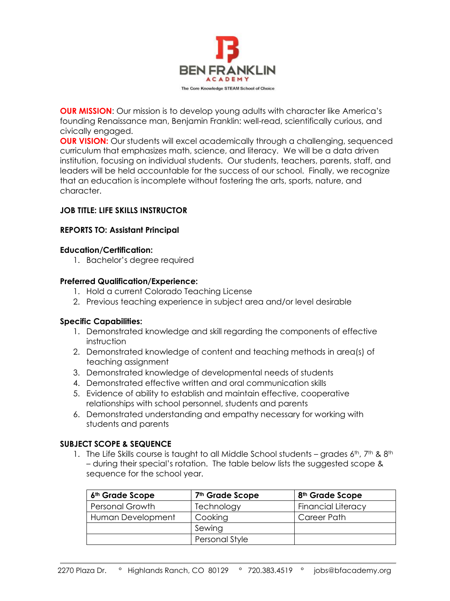

**OUR MISSION:** Our mission is to develop young adults with character like America's founding Renaissance man, Benjamin Franklin: well-read, scientifically curious, and civically engaged.

**OUR VISION:** Our students will excel academically through a challenging, sequenced curriculum that emphasizes math, science, and literacy. We will be a data driven institution, focusing on individual students. Our students, teachers, parents, staff, and leaders will be held accountable for the success of our school. Finally, we recognize that an education is incomplete without fostering the arts, sports, nature, and character.

# **JOB TITLE: LIFE SKILLS INSTRUCTOR**

# **REPORTS TO: Assistant Principal**

#### **Education/Certification:**

1. Bachelor's degree required

# **Preferred Qualification/Experience:**

- 1. Hold a current Colorado Teaching License
- 2. Previous teaching experience in subject area and/or level desirable

# **Specific Capabilities:**

- 1. Demonstrated knowledge and skill regarding the components of effective instruction
- 2. Demonstrated knowledge of content and teaching methods in area(s) of teaching assignment
- 3. Demonstrated knowledge of developmental needs of students
- 4. Demonstrated effective written and oral communication skills
- 5. Evidence of ability to establish and maintain effective, cooperative relationships with school personnel, students and parents
- 6. Demonstrated understanding and empathy necessary for working with students and parents

# **SUBJECT SCOPE & SEQUENCE**

1. The Life Skills course is taught to all Middle School students – grades  $6^{th}$ , 7<sup>th</sup> &  $8^{th}$ – during their special's rotation. The table below lists the suggested scope & sequence for the school year.

| 6 <sup>th</sup> Grade Scope | 7 <sup>th</sup> Grade Scope | 8 <sup>th</sup> Grade Scope |
|-----------------------------|-----------------------------|-----------------------------|
| <b>Personal Growth</b>      | Technology                  | <b>Financial Literacy</b>   |
| Human Development           | Cooking                     | Career Path                 |
|                             | Sewing                      |                             |
|                             | Personal Style              |                             |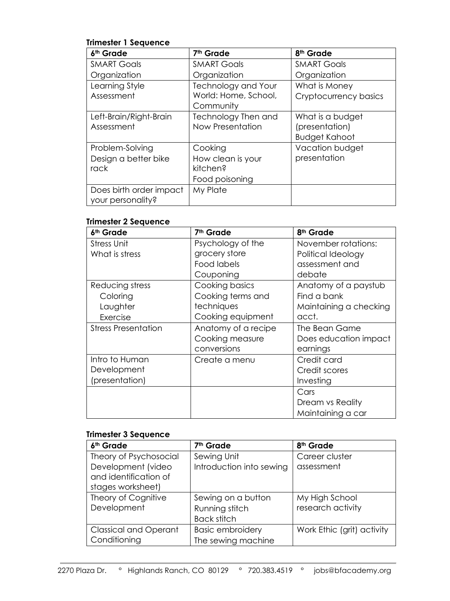# **Trimester 1 Sequence**

| 6th Grade               | 7 <sup>th</sup> Grade      | 8 <sup>th</sup> Grade |
|-------------------------|----------------------------|-----------------------|
| <b>SMART Goals</b>      | <b>SMART Goals</b>         | <b>SMART Goals</b>    |
| Organization            | Organization               | Organization          |
| Learning Style          | <b>Technology and Your</b> | What is Money         |
| Assessment              | World: Home, School,       | Cryptocurrency basics |
|                         | Community                  |                       |
| Left-Brain/Right-Brain  | Technology Then and        | What is a budget      |
| Assessment              | Now Presentation           | (presentation)        |
|                         |                            | <b>Budget Kahoot</b>  |
| Problem-Solving         | Cooking                    | Vacation budget       |
| Design a better bike    | How clean is your          | presentation          |
| rack                    | kitchen?                   |                       |
|                         | Food poisoning             |                       |
| Does birth order impact | My Plate                   |                       |
| your personality?       |                            |                       |

### **Trimester 2 Sequence**

| 6 <sup>th</sup> Grade      | 7 <sup>th</sup> Grade | 8 <sup>th</sup> Grade  |
|----------------------------|-----------------------|------------------------|
| <b>Stress Unit</b>         | Psychology of the     | November rotations:    |
| What is stress             | grocery store         | Political Ideology     |
|                            | Food labels           | assessment and         |
|                            | Couponing             | debate                 |
| Reducing stress            | Cooking basics        | Anatomy of a paystub   |
| Coloring                   | Cooking terms and     | Find a bank            |
| Laughter                   | techniques            | Maintaining a checking |
| Exercise                   | Cooking equipment     | acct.                  |
| <b>Stress Presentation</b> | Anatomy of a recipe   | The Bean Game          |
|                            | Cooking measure       | Does education impact  |
|                            | conversions           | earnings               |
| Intro to Human             | Create a menu         | Credit card            |
| Development                |                       | Credit scores          |
| (presentation)             |                       | Investing              |
|                            |                       | Cars                   |
|                            |                       | Dream vs Reality       |
|                            |                       | Maintaining a car      |

# **Trimester 3 Sequence**

| 6 <sup>th</sup> Grade        | 7 <sup>th</sup> Grade    | 8 <sup>th</sup> Grade      |
|------------------------------|--------------------------|----------------------------|
| Theory of Psychosocial       | Sewing Unit              | Career cluster             |
| Development (video           | Introduction into sewing | assessment                 |
| and identification of        |                          |                            |
| stages worksheet)            |                          |                            |
| Theory of Cognitive          | Sewing on a button       | My High School             |
| Development                  | Running stitch           | research activity          |
|                              | <b>Back stitch</b>       |                            |
| <b>Classical and Operant</b> | <b>Basic embroidery</b>  | Work Ethic (grit) activity |
| Conditioning                 | The sewing machine       |                            |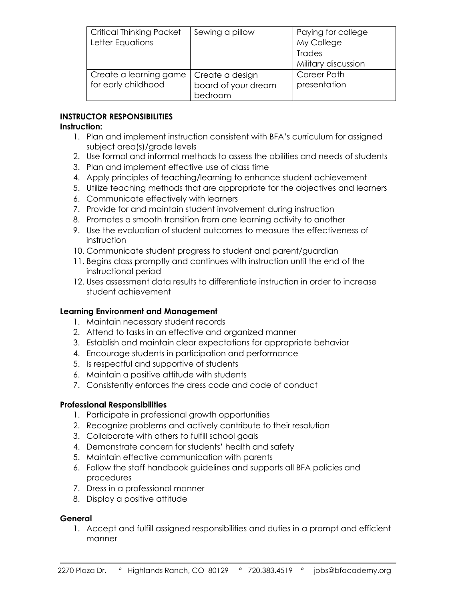| <b>Critical Thinking Packet</b><br>Letter Equations | Sewing a pillow                                   | Paying for college<br>My College<br><b>Trades</b><br>Military discussion |
|-----------------------------------------------------|---------------------------------------------------|--------------------------------------------------------------------------|
| Create a learning game<br>for early childhood       | Create a design<br>board of your dream<br>bedroom | Career Path<br>presentation                                              |

# **INSTRUCTOR RESPONSIBILITIES**

### **Instruction:**

- 1. Plan and implement instruction consistent with BFA's curriculum for assigned subject area(s)/grade levels
- 2. Use formal and informal methods to assess the abilities and needs of students
- 3. Plan and implement effective use of class time
- 4. Apply principles of teaching/learning to enhance student achievement
- 5. Utilize teaching methods that are appropriate for the objectives and learners
- 6. Communicate effectively with learners
- 7. Provide for and maintain student involvement during instruction
- 8. Promotes a smooth transition from one learning activity to another
- 9. Use the evaluation of student outcomes to measure the effectiveness of instruction
- 10. Communicate student progress to student and parent/guardian
- 11. Begins class promptly and continues with instruction until the end of the instructional period
- 12. Uses assessment data results to differentiate instruction in order to increase student achievement

# **Learning Environment and Management**

- 1. Maintain necessary student records
- 2. Attend to tasks in an effective and organized manner
- 3. Establish and maintain clear expectations for appropriate behavior
- 4. Encourage students in participation and performance
- 5. Is respectful and supportive of students
- 6. Maintain a positive attitude with students
- 7. Consistently enforces the dress code and code of conduct

# **Professional Responsibilities**

- 1. Participate in professional growth opportunities
- 2. Recognize problems and actively contribute to their resolution
- 3. Collaborate with others to fulfill school goals
- 4. Demonstrate concern for students' health and safety
- 5. Maintain effective communication with parents
- 6. Follow the staff handbook guidelines and supports all BFA policies and procedures
- 7. Dress in a professional manner
- 8. Display a positive attitude

# **General**

1. Accept and fulfill assigned responsibilities and duties in a prompt and efficient manner